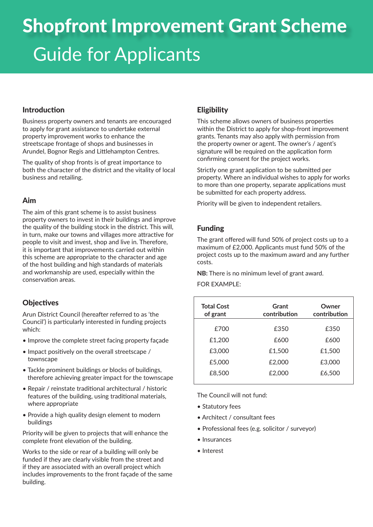# Shopfront Improvement Grant Scheme Guide for Applicants

#### Introduction

Business property owners and tenants are encouraged to apply for grant assistance to undertake external property improvement works to enhance the streetscape frontage of shops and businesses in Arundel, Bognor Regis and Littlehampton Centres.

The quality of shop fronts is of great importance to both the character of the district and the vitality of local business and retailing.

#### Aim

The aim of this grant scheme is to assist business property owners to invest in their buildings and improve the quality of the building stock in the district. This will, in turn, make our towns and villages more attractive for people to visit and invest, shop and live in. Therefore, it is important that improvements carried out within this scheme are appropriate to the character and age of the host building and high standards of materials and workmanship are used, especially within the conservation areas.

## **Objectives**

Arun District Council (hereafter referred to as 'the Council') is particularly interested in funding projects which:

- Improve the complete street facing property facade
- Impact positively on the overall streetscape / townscape
- Tackle prominent buildings or blocks of buildings, therefore achieving greater impact for the townscape
- Repair / reinstate traditional architectural / historic features of the building, using traditional materials, where appropriate
- Provide a high quality design element to modern buildings

Priority will be given to projects that will enhance the complete front elevation of the building.

Works to the side or rear of a building will only be funded if they are clearly visible from the street and if they are associated with an overall project which includes improvements to the front façade of the same building.

# **Eligibility**

This scheme allows owners of business properties within the District to apply for shop-front improvement grants. Tenants may also apply with permission from the property owner or agent. The owner's / agent's signature will be required on the application form confirming consent for the project works.

Strictly one grant application to be submitted per property. Where an individual wishes to apply for works to more than one property, separate applications must be submitted for each property address.

Priority will be given to independent retailers.

# Funding

The grant offered will fund 50% of project costs up to a maximum of £2,000. Applicants must fund 50% of the project costs up to the maximum award and any further costs.

**NB:** There is no minimum level of grant award.

FOR EXAMPLE:

| <b>Total Cost</b><br>of grant | Grant<br>contribution | Owner<br>contribution |
|-------------------------------|-----------------------|-----------------------|
| £700                          | £350                  | £350                  |
| £1,200                        | £600                  | £600                  |
| £3,000                        | £1,500                | £1,500                |
| £5,000                        | £2,000                | £3,000                |
| £8,500                        | £2,000                | £6,500                |
|                               |                       |                       |

The Council will not fund:

- Statutory fees
- Architect / consultant fees
- Professional fees (e.g. solicitor / surveyor)
- Insurances
- Interest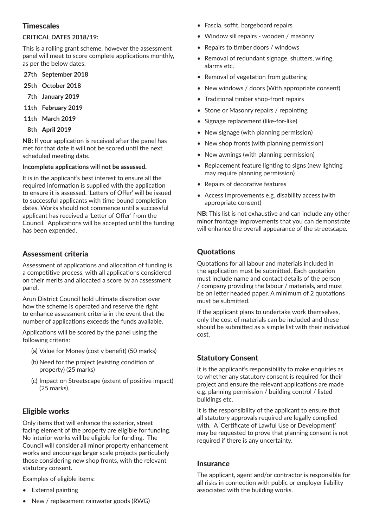## **Timescales**

#### **CRITICAL DATES 2018/19:**

This is a rolling grant scheme, however the assessment panel will meet to score complete applications monthly, as per the below dates:

- **27th September 2018**
- **25th October 2018**
- **7th January 2019**
- **11th February 2019**
- **11th March 2019**
- **8th April 2019**

**NB:** If your application is received after the panel has met for that date it will not be scored until the next scheduled meeting date.

#### **Incomplete applications will not be assessed.**

It is in the applicant's best interest to ensure all the required information is supplied with the application to ensure it is assessed. 'Letters of Offer' will be issued to successful applicants with time bound completion dates. Works should not commence until a successful applicant has received a 'Letter of Offer' from the Council. Applications will be accepted until the funding has been expended.

## Assessment criteria

Assessment of applications and allocation of funding is a competitive process, with all applications considered on their merits and allocated a score by an assessment panel.

Arun District Council hold ultimate discretion over how the scheme is operated and reserve the right to enhance assessment criteria in the event that the number of applications exceeds the funds available.

Applications will be scored by the panel using the following criteria:

- (a) Value for Money (cost v benefit) (50 marks)
- (b) Need for the project (existing condition of property) (25 marks)
- (c) Impact on Streetscape (extent of positive impact) (25 marks).

# Eligible works

Only items that will enhance the exterior, street facing element of the property are eligible for funding. No interior works will be eligible for funding. The Council will consider all minor property enhancement works and encourage larger scale projects particularly those considering new shop fronts, with the relevant statutory consent.

Examples of eligible items:

- **External painting**
- New / replacement rainwater goods (RWG)
- Fascia, soffit, bargeboard repairs
- Window sill repairs wooden / masonry
- Repairs to timber doors / windows
- Removal of redundant signage, shutters, wiring, alarms etc.
- Removal of vegetation from guttering
- New windows / doors (With appropriate consent)
- Traditional timber shop-front repairs
- Stone or Masonry repairs / repointing
- Signage replacement (like-for-like)
- New signage (with planning permission)
- New shop fronts (with planning permission)
- New awnings (with planning permission)
- Replacement feature lighting to signs (new lighting may require planning permission)
- Repairs of decorative features
- Access improvements e.g. disability access (with appropriate consent)

**NB:** This list is not exhaustive and can include any other minor frontage improvements that you can demonstrate will enhance the overall appearance of the streetscape.

# **Quotations**

Quotations for all labour and materials included in the application must be submitted. Each quotation must include name and contact details of the person / company providing the labour / materials, and must be on letter headed paper. A minimum of 2 quotations must be submitted.

If the applicant plans to undertake work themselves, only the cost of materials can be included and these should be submitted as a simple list with their individual cost.

## Statutory Consent

It is the applicant's responsibility to make enquiries as to whether any statutory consent is required for their project and ensure the relevant applications are made e.g. planning permission / building control / listed buildings etc.

It is the responsibility of the applicant to ensure that all statutory approvals required are legally complied with. A 'Certificate of Lawful Use or Development' may be requested to prove that planning consent is not required if there is any uncertainty.

#### Insurance

The applicant, agent and/or contractor is responsible for all risks in connection with public or employer liability associated with the building works.